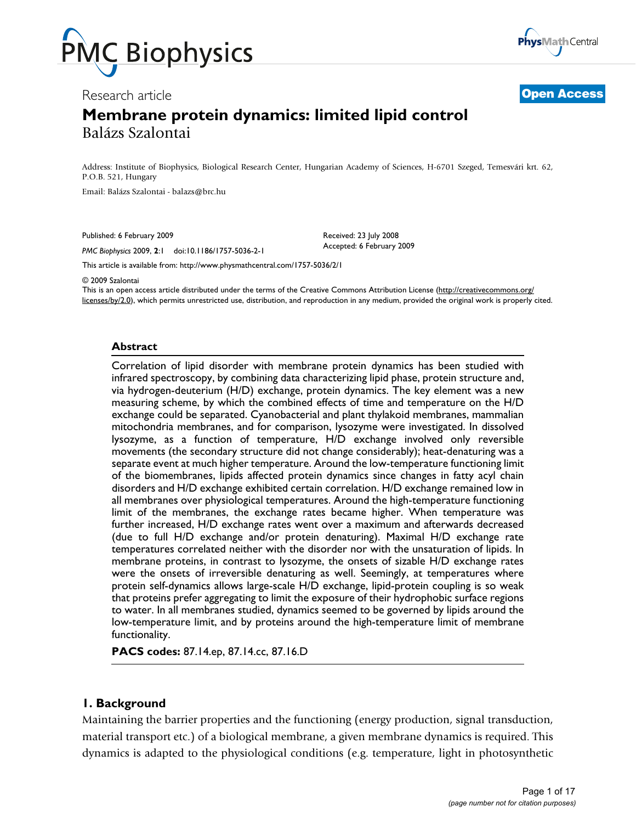



Research article **[Open Access](http://www.biomedcentral.com/info/about/charter/)**

# **Membrane protein dynamics: limited lipid control** Balázs Szalontai

Address: Institute of Biophysics, Biological Research Center, Hungarian Academy of Sciences, H-6701 Szeged, Temesvári krt. 62, P.O.B. 521, Hungary

Email: Balázs Szalontai - balazs@brc.hu

Published: 6 February 2009

*PMC Biophysics* 2009, **2**:1 doi:10.1186/1757-5036-2-1

Received: 23 July 2008 Accepted: 6 February 2009

[This article is available from: http://www.physmathcentral.com/1757-5036/2/1](http://www.physmathcentral.com/1757-5036/2/1)

© 2009 Szalontai

This is an open access article distributed under the terms of the Creative Commons Attribution License [\(http://creativecommons.org/](http://creativecommons.org/licenses/by/2.0) [licenses/by/2.0\)](http://creativecommons.org/licenses/by/2.0), which permits unrestricted use, distribution, and reproduction in any medium, provided the original work is properly cited.

#### **Abstract**

Correlation of lipid disorder with membrane protein dynamics has been studied with infrared spectroscopy, by combining data characterizing lipid phase, protein structure and, via hydrogen-deuterium (H/D) exchange, protein dynamics. The key element was a new measuring scheme, by which the combined effects of time and temperature on the H/D exchange could be separated. Cyanobacterial and plant thylakoid membranes, mammalian mitochondria membranes, and for comparison, lysozyme were investigated. In dissolved lysozyme, as a function of temperature, H/D exchange involved only reversible movements (the secondary structure did not change considerably); heat-denaturing was a separate event at much higher temperature. Around the low-temperature functioning limit of the biomembranes, lipids affected protein dynamics since changes in fatty acyl chain disorders and H/D exchange exhibited certain correlation. H/D exchange remained low in all membranes over physiological temperatures. Around the high-temperature functioning limit of the membranes, the exchange rates became higher. When temperature was further increased, H/D exchange rates went over a maximum and afterwards decreased (due to full H/D exchange and/or protein denaturing). Maximal H/D exchange rate temperatures correlated neither with the disorder nor with the unsaturation of lipids. In membrane proteins, in contrast to lysozyme, the onsets of sizable H/D exchange rates were the onsets of irreversible denaturing as well. Seemingly, at temperatures where protein self-dynamics allows large-scale H/D exchange, lipid-protein coupling is so weak that proteins prefer aggregating to limit the exposure of their hydrophobic surface regions to water. In all membranes studied, dynamics seemed to be governed by lipids around the low-temperature limit, and by proteins around the high-temperature limit of membrane functionality.

**PACS codes:** 87.14.ep, 87.14.cc, 87.16.D

#### **1. Background**

Maintaining the barrier properties and the functioning (energy production, signal transduction, material transport etc.) of a biological membrane, a given membrane dynamics is required. This dynamics is adapted to the physiological conditions (e.g. temperature, light in photosynthetic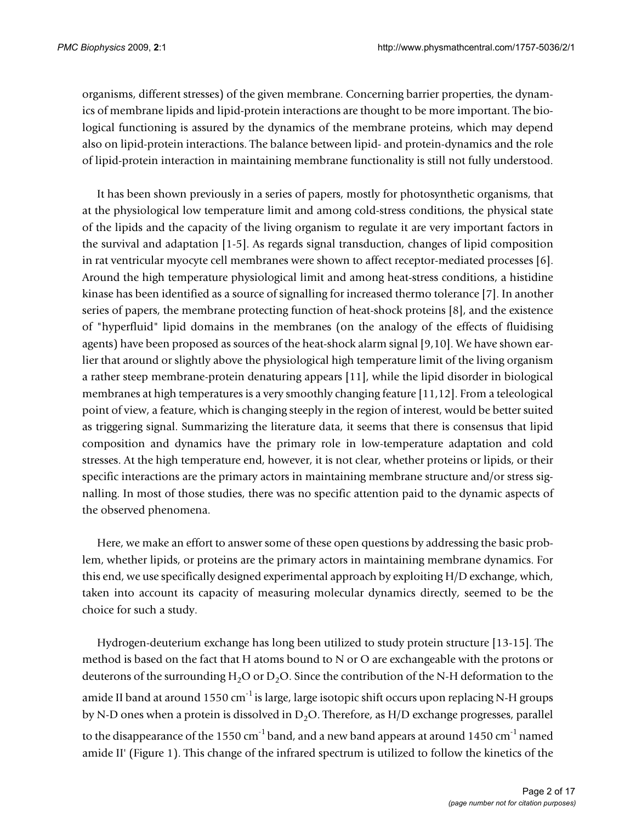organisms, different stresses) of the given membrane. Concerning barrier properties, the dynamics of membrane lipids and lipid-protein interactions are thought to be more important. The biological functioning is assured by the dynamics of the membrane proteins, which may depend also on lipid-protein interactions. The balance between lipid- and protein-dynamics and the role of lipid-protein interaction in maintaining membrane functionality is still not fully understood.

It has been shown previously in a series of papers, mostly for photosynthetic organisms, that at the physiological low temperature limit and among cold-stress conditions, the physical state of the lipids and the capacity of the living organism to regulate it are very important factors in the survival and adaptation [1-5]. As regards signal transduction, changes of lipid composition in rat ventricular myocyte cell membranes were shown to affect receptor-mediated processes [6]. Around the high temperature physiological limit and among heat-stress conditions, a histidine kinase has been identified as a source of signalling for increased thermo tolerance [7]. In another series of papers, the membrane protecting function of heat-shock proteins [8], and the existence of "hyperfluid" lipid domains in the membranes (on the analogy of the effects of fluidising agents) have been proposed as sources of the heat-shock alarm signal [9,10]. We have shown earlier that around or slightly above the physiological high temperature limit of the living organism a rather steep membrane-protein denaturing appears [11], while the lipid disorder in biological membranes at high temperatures is a very smoothly changing feature [11,12]. From a teleological point of view, a feature, which is changing steeply in the region of interest, would be better suited as triggering signal. Summarizing the literature data, it seems that there is consensus that lipid composition and dynamics have the primary role in low-temperature adaptation and cold stresses. At the high temperature end, however, it is not clear, whether proteins or lipids, or their specific interactions are the primary actors in maintaining membrane structure and/or stress signalling. In most of those studies, there was no specific attention paid to the dynamic aspects of the observed phenomena.

Here, we make an effort to answer some of these open questions by addressing the basic problem, whether lipids, or proteins are the primary actors in maintaining membrane dynamics. For this end, we use specifically designed experimental approach by exploiting H/D exchange, which, taken into account its capacity of measuring molecular dynamics directly, seemed to be the choice for such a study.

Hydrogen-deuterium exchange has long been utilized to study protein structure [13-15]. The method is based on the fact that H atoms bound to N or O are exchangeable with the protons or deuterons of the surrounding  $H_2O$  or  $D_2O$ . Since the contribution of the N-H deformation to the amide II band at around 1550 cm<sup>-1</sup> is large, large isotopic shift occurs upon replacing N-H groups by N-D ones when a protein is dissolved in  $D_2O$ . Therefore, as H/D exchange progresses, parallel to the disappearance of the 1550 cm<sup>-1</sup> band, and a new band appears at around 1450 cm<sup>-1</sup> named amide II' (Figure 1). This change of the infrared spectrum is utilized to follow the kinetics of the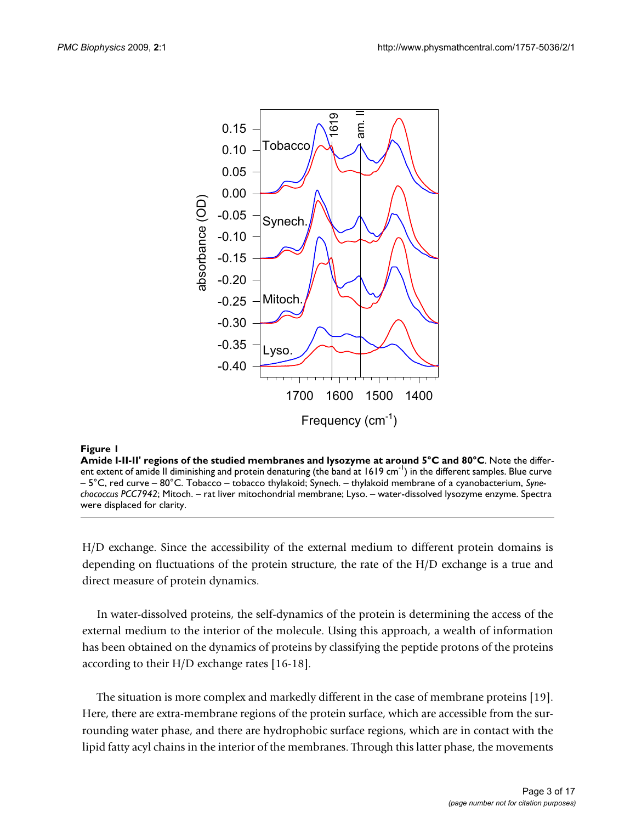

#### Amide I-II-II' regions of the studied membranes and lysozyme at around 5°C and 80°C **Figure 1**

**Amide I-II-II' regions of the studied membranes and lysozyme at around 5°C and 80°C**. Note the different extent of amide II diminishing and protein denaturing (the band at  $1619 \text{ cm}^{-1}$ ) in the different samples. Blue curve – 5°C, red curve – 80°C. Tobacco – tobacco thylakoid; Synech. – thylakoid membrane of a cyanobacterium, *Synechococcus PCC7942*; Mitoch. – rat liver mitochondrial membrane; Lyso. – water-dissolved lysozyme enzyme. Spectra were displaced for clarity.

H/D exchange. Since the accessibility of the external medium to different protein domains is depending on fluctuations of the protein structure, the rate of the H/D exchange is a true and direct measure of protein dynamics.

In water-dissolved proteins, the self-dynamics of the protein is determining the access of the external medium to the interior of the molecule. Using this approach, a wealth of information has been obtained on the dynamics of proteins by classifying the peptide protons of the proteins according to their H/D exchange rates [16-18].

The situation is more complex and markedly different in the case of membrane proteins [19]. Here, there are extra-membrane regions of the protein surface, which are accessible from the surrounding water phase, and there are hydrophobic surface regions, which are in contact with the lipid fatty acyl chains in the interior of the membranes. Through this latter phase, the movements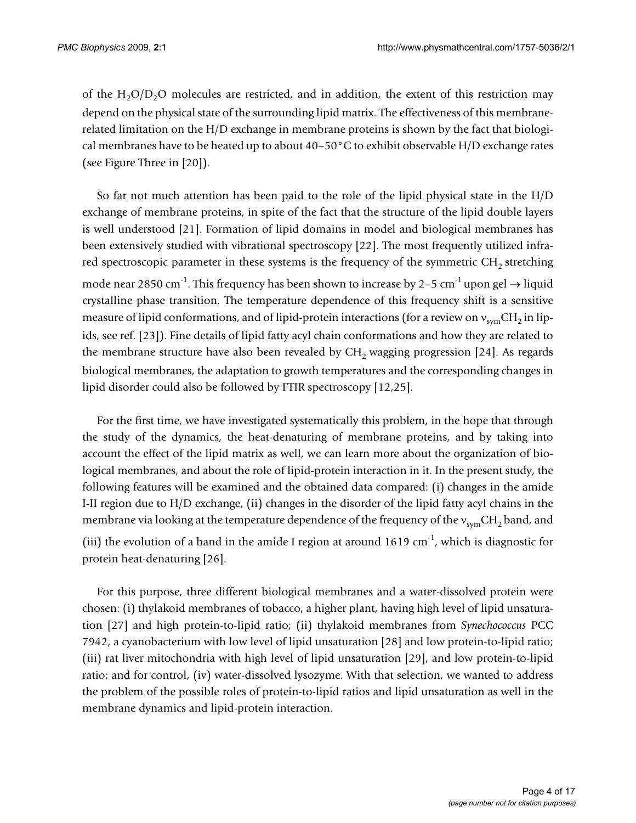of the  $H_2O/D_2O$  molecules are restricted, and in addition, the extent of this restriction may depend on the physical state of the surrounding lipid matrix. The effectiveness of this membranerelated limitation on the H/D exchange in membrane proteins is shown by the fact that biological membranes have to be heated up to about  $40-50\degree$ C to exhibit observable H/D exchange rates (see Figure Three in [20]).

So far not much attention has been paid to the role of the lipid physical state in the H/D exchange of membrane proteins, in spite of the fact that the structure of the lipid double layers is well understood [21]. Formation of lipid domains in model and biological membranes has been extensively studied with vibrational spectroscopy [22]. The most frequently utilized infrared spectroscopic parameter in these systems is the frequency of the symmetric CH<sub>2</sub> stretching mode near 2850 cm<sup>-1</sup>. This frequency has been shown to increase by 2–5 cm<sup>-1</sup> upon gel  $\rightarrow$  liquid crystalline phase transition. The temperature dependence of this frequency shift is a sensitive measure of lipid conformations, and of lipid-protein interactions (for a review on  $v_{sym}CH_2$  in lipids, see ref. [23]). Fine details of lipid fatty acyl chain conformations and how they are related to the membrane structure have also been revealed by  $CH<sub>2</sub>$  wagging progression [24]. As regards biological membranes, the adaptation to growth temperatures and the corresponding changes in lipid disorder could also be followed by FTIR spectroscopy [12,25].

For the first time, we have investigated systematically this problem, in the hope that through the study of the dynamics, the heat-denaturing of membrane proteins, and by taking into account the effect of the lipid matrix as well, we can learn more about the organization of biological membranes, and about the role of lipid-protein interaction in it. In the present study, the following features will be examined and the obtained data compared: (i) changes in the amide I-II region due to H/D exchange, (ii) changes in the disorder of the lipid fatty acyl chains in the membrane via looking at the temperature dependence of the frequency of the  $v_{sym}CH_2$  band, and (iii) the evolution of a band in the amide I region at around  $1619 \text{ cm}^{-1}$ , which is diagnostic for protein heat-denaturing [26].

For this purpose, three different biological membranes and a water-dissolved protein were chosen: (i) thylakoid membranes of tobacco, a higher plant, having high level of lipid unsaturation [27] and high protein-to-lipid ratio; (ii) thylakoid membranes from *Synechococcus* PCC 7942, a cyanobacterium with low level of lipid unsaturation [28] and low protein-to-lipid ratio; (iii) rat liver mitochondria with high level of lipid unsaturation [29], and low protein-to-lipid ratio; and for control, (iv) water-dissolved lysozyme. With that selection, we wanted to address the problem of the possible roles of protein-to-lipid ratios and lipid unsaturation as well in the membrane dynamics and lipid-protein interaction.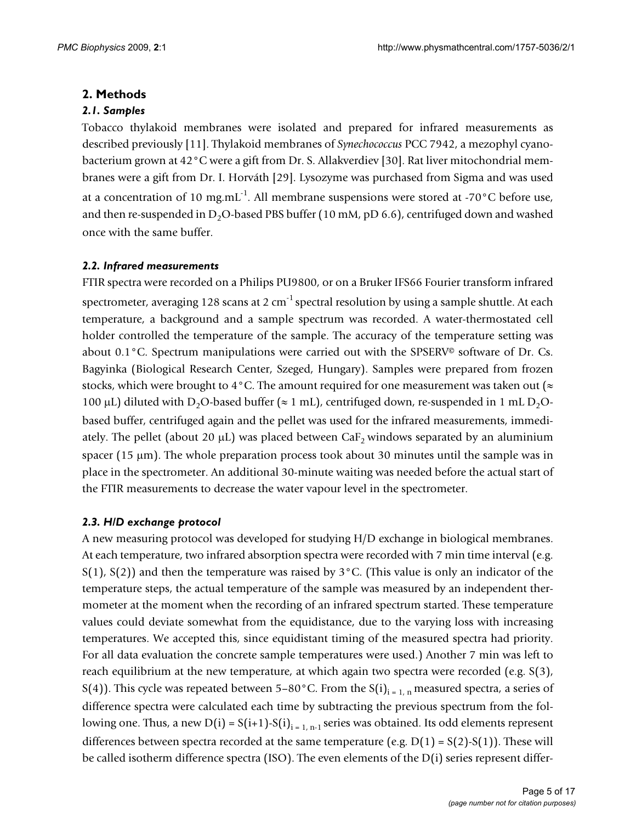## **2. Methods**

## *2.1. Samples*

Tobacco thylakoid membranes were isolated and prepared for infrared measurements as described previously [11]. Thylakoid membranes of *Synechococcus* PCC 7942, a mezophyl cyanobacterium grown at 42°C were a gift from Dr. S. Allakverdiev [30]. Rat liver mitochondrial membranes were a gift from Dr. I. Horváth [29]. Lysozyme was purchased from Sigma and was used at a concentration of 10 mg.mL<sup>-1</sup>. All membrane suspensions were stored at -70 $^{\circ}$ C before use, and then re-suspended in D<sub>2</sub>O-based PBS buffer (10 mM, pD 6.6), centrifuged down and washed once with the same buffer.

## *2.2. Infrared measurements*

FTIR spectra were recorded on a Philips PU9800, or on a Bruker IFS66 Fourier transform infrared spectrometer, averaging 128 scans at 2 cm<sup>-1</sup> spectral resolution by using a sample shuttle. At each temperature, a background and a sample spectrum was recorded. A water-thermostated cell holder controlled the temperature of the sample. The accuracy of the temperature setting was about 0.1°C. Spectrum manipulations were carried out with the SPSERV© software of Dr. Cs. Bagyinka (Biological Research Center, Szeged, Hungary). Samples were prepared from frozen stocks, which were brought to 4 °C. The amount required for one measurement was taken out ( $\approx$ 100 µL) diluted with D<sub>2</sub>O-based buffer ( $\approx 1$  mL), centrifuged down, re-suspended in 1 mL D<sub>2</sub>Obased buffer, centrifuged again and the pellet was used for the infrared measurements, immediately. The pellet (about 20  $\mu$ L) was placed between CaF<sub>2</sub> windows separated by an aluminium spacer (15  $\mu$ m). The whole preparation process took about 30 minutes until the sample was in place in the spectrometer. An additional 30-minute waiting was needed before the actual start of the FTIR measurements to decrease the water vapour level in the spectrometer.

## *2.3. H/D exchange protocol*

A new measuring protocol was developed for studying H/D exchange in biological membranes. At each temperature, two infrared absorption spectra were recorded with 7 min time interval (e.g.  $S(1)$ ,  $S(2)$ ) and then the temperature was raised by  $3^{\circ}$ C. (This value is only an indicator of the temperature steps, the actual temperature of the sample was measured by an independent thermometer at the moment when the recording of an infrared spectrum started. These temperature values could deviate somewhat from the equidistance, due to the varying loss with increasing temperatures. We accepted this, since equidistant timing of the measured spectra had priority. For all data evaluation the concrete sample temperatures were used.) Another 7 min was left to reach equilibrium at the new temperature, at which again two spectra were recorded (e.g. S(3), S(4)). This cycle was repeated between 5–80°C. From the S(i)<sub>i = 1, n</sub> measured spectra, a series of difference spectra were calculated each time by subtracting the previous spectrum from the following one. Thus, a new  $D(i) = S(i+1) - S(i)_{i=1, n-1}$  series was obtained. Its odd elements represent differences between spectra recorded at the same temperature (e.g.  $D(1) = S(2) - S(1)$ ). These will be called isotherm difference spectra (ISO). The even elements of the D(i) series represent differ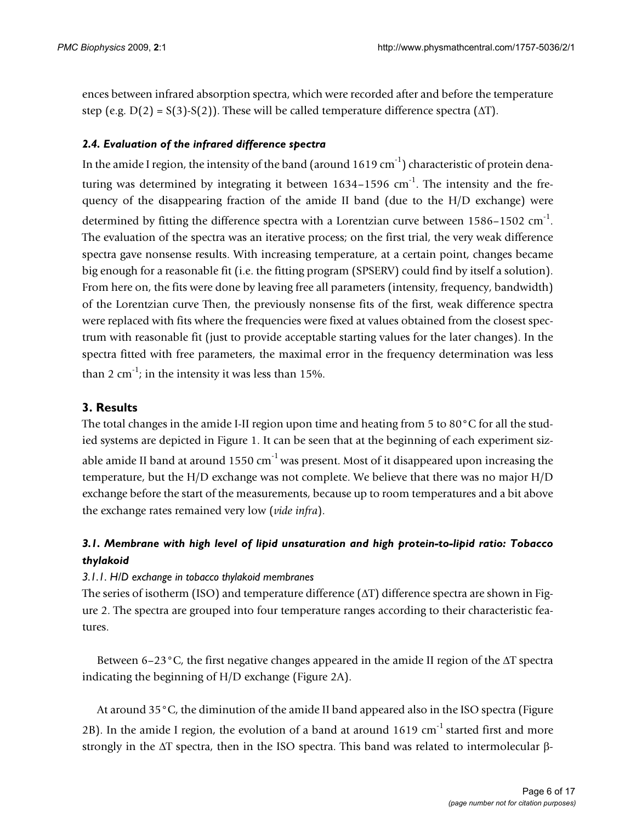ences between infrared absorption spectra, which were recorded after and before the temperature step (e.g.  $D(2) = S(3) - S(2)$ ). These will be called temperature difference spectra ( $\Delta T$ ).

## *2.4. Evaluation of the infrared difference spectra*

In the amide I region, the intensity of the band (around  $1619 \text{ cm}^{-1}$ ) characteristic of protein denaturing was determined by integrating it between  $1634-1596$  cm<sup>-1</sup>. The intensity and the frequency of the disappearing fraction of the amide II band (due to the H/D exchange) were determined by fitting the difference spectra with a Lorentzian curve between 1586-1502 cm<sup>-1</sup>. The evaluation of the spectra was an iterative process; on the first trial, the very weak difference spectra gave nonsense results. With increasing temperature, at a certain point, changes became big enough for a reasonable fit (i.e. the fitting program (SPSERV) could find by itself a solution). From here on, the fits were done by leaving free all parameters (intensity, frequency, bandwidth) of the Lorentzian curve Then, the previously nonsense fits of the first, weak difference spectra were replaced with fits where the frequencies were fixed at values obtained from the closest spectrum with reasonable fit (just to provide acceptable starting values for the later changes). In the spectra fitted with free parameters, the maximal error in the frequency determination was less than 2 cm<sup>-1</sup>; in the intensity it was less than 15%.

## **3. Results**

The total changes in the amide I-II region upon time and heating from 5 to 80°C for all the studied systems are depicted in Figure 1. It can be seen that at the beginning of each experiment sizable amide II band at around  $1550 \text{ cm}^{-1}$  was present. Most of it disappeared upon increasing the temperature, but the H/D exchange was not complete. We believe that there was no major H/D exchange before the start of the measurements, because up to room temperatures and a bit above the exchange rates remained very low (*vide infra*).

## *3.1. Membrane with high level of lipid unsaturation and high protein-to-lipid ratio: Tobacco thylakoid*

## *3.1.1. H/D exchange in tobacco thylakoid membranes*

The series of isotherm (ISO) and temperature difference  $(\Delta T)$  difference spectra are shown in Figure 2. The spectra are grouped into four temperature ranges according to their characteristic features.

Between 6–23 $\degree$ C, the first negative changes appeared in the amide II region of the  $\triangle T$  spectra indicating the beginning of H/D exchange (Figure 2A).

At around 35°C, the diminution of the amide II band appeared also in the ISO spectra (Figure 2B). In the amide I region, the evolution of a band at around  $1619 \text{ cm}^{-1}$  started first and more strongly in the  $\Delta T$  spectra, then in the ISO spectra. This band was related to intermolecular  $\beta$ -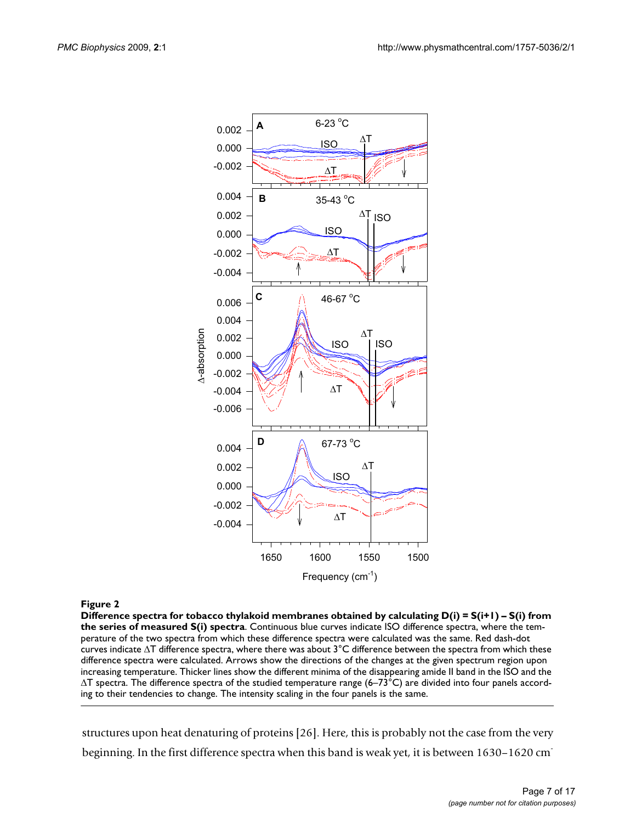

#### **Figure 2**

**Difference spectra for tobacco thylakoid membranes obtained by calculating D(i) = S(i+1) – S(i) from the series of measured S(i) spectra**. Continuous blue curves indicate ISO difference spectra, where the temperature of the two spectra from which these difference spectra were calculated was the same. Red dash-dot curves indicate  $\Delta T$  difference spectra, where there was about  $3^{\circ}C$  difference between the spectra from which these difference spectra were calculated. Arrows show the directions of the changes at the given spectrum region upon increasing temperature. Thicker lines show the different minima of the disappearing amide II band in the ISO and the  $\Delta T$  spectra. The difference spectra of the studied temperature range (6–73°C) are divided into four panels according to their tendencies to change. The intensity scaling in the four panels is the same.

structures upon heat denaturing of proteins [26]. Here, this is probably not the case from the very beginning. In the first difference spectra when this band is weak yet, it is between 1630–1620 cm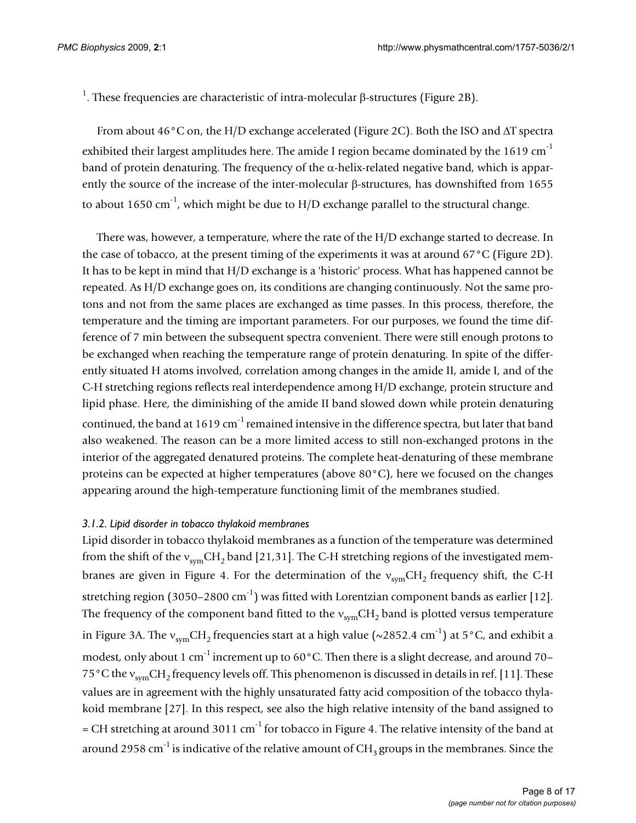<sup>1</sup>. These frequencies are characteristic of intra-molecular  $\beta$ -structures (Figure 2B).

From about 46 $\degree$ C on, the H/D exchange accelerated (Figure 2C). Both the ISO and  $\triangle T$  spectra exhibited their largest amplitudes here. The amide I region became dominated by the 1619  $cm^{-1}$ band of protein denaturing. The frequency of the  $\alpha$ -helix-related negative band, which is apparently the source of the increase of the inter-molecular  $\beta$ -structures, has downshifted from 1655 to about 1650 cm<sup>-1</sup>, which might be due to  $H/D$  exchange parallel to the structural change.

There was, however, a temperature, where the rate of the H/D exchange started to decrease. In the case of tobacco, at the present timing of the experiments it was at around 67°C (Figure 2D). It has to be kept in mind that H/D exchange is a 'historic' process. What has happened cannot be repeated. As H/D exchange goes on, its conditions are changing continuously. Not the same protons and not from the same places are exchanged as time passes. In this process, therefore, the temperature and the timing are important parameters. For our purposes, we found the time difference of 7 min between the subsequent spectra convenient. There were still enough protons to be exchanged when reaching the temperature range of protein denaturing. In spite of the differently situated H atoms involved, correlation among changes in the amide II, amide I, and of the C-H stretching regions reflects real interdependence among H/D exchange, protein structure and lipid phase. Here, the diminishing of the amide II band slowed down while protein denaturing continued, the band at 1619 cm<sup>-1</sup> remained intensive in the difference spectra, but later that band also weakened. The reason can be a more limited access to still non-exchanged protons in the interior of the aggregated denatured proteins. The complete heat-denaturing of these membrane proteins can be expected at higher temperatures (above 80°C), here we focused on the changes appearing around the high-temperature functioning limit of the membranes studied.

## *3.1.2. Lipid disorder in tobacco thylakoid membranes*

Lipid disorder in tobacco thylakoid membranes as a function of the temperature was determined from the shift of the  $v_{sym}CH_2$  band [21,31]. The C-H stretching regions of the investigated membranes are given in Figure 4. For the determination of the  $v_{sym}CH_2$  frequency shift, the C-H stretching region (3050–2800 cm<sup>-1</sup>) was fitted with Lorentzian component bands as earlier [12]. The frequency of the component band fitted to the  $v_{sym}CH_2$  band is plotted versus temperature in Figure 3A. The  $v_{sym}CH_2$  frequencies start at a high value (~2852.4 cm<sup>-1</sup>) at 5°C, and exhibit a modest, only about 1 cm<sup>-1</sup> increment up to  $60^{\circ}$ C. Then there is a slight decrease, and around 70– 75°C the v<sub>sym</sub>CH<sub>2</sub> frequency levels off. This phenomenon is discussed in details in ref. [11]. These values are in agreement with the highly unsaturated fatty acid composition of the tobacco thylakoid membrane [27]. In this respect, see also the high relative intensity of the band assigned to  $=$  CH stretching at around 3011 cm<sup>-1</sup> for tobacco in Figure 4. The relative intensity of the band at around 2958 cm<sup>-1</sup> is indicative of the relative amount of  $CH<sub>3</sub>$  groups in the membranes. Since the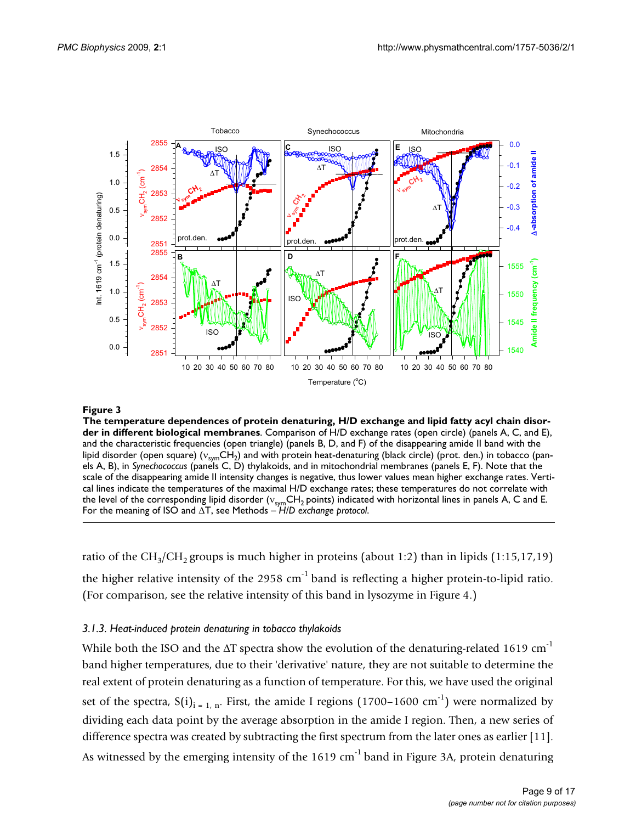

#### The temperature dependences of protein biological membranes **Figure 3** denaturing, H/D exchange and lipid fatty acyl chain disorder in different

**The temperature dependences of protein denaturing, H/D exchange and lipid fatty acyl chain disorder in different biological membranes**. Comparison of H/D exchange rates (open circle) (panels A, C, and E), and the characteristic frequencies (open triangle) (panels B, D, and F) of the disappearing amide II band with the lipid disorder (open square) ( $v_{sym}CH_{2}$ ) and with protein heat-denaturing (black circle) (prot. den.) in tobacco (panels A, B), in *Synechococcus* (panels C, D) thylakoids, and in mitochondrial membranes (panels E, F). Note that the scale of the disappearing amide II intensity changes is negative, thus lower values mean higher exchange rates. Vertical lines indicate the temperatures of the maximal H/D exchange rates; these temperatures do not correlate with the level of the corresponding lipid disorder ( $v_{sym}CH_2$  points) indicated with horizontal lines in panels A, C and E. For the meaning of ISO and  $\Delta T$ , see Methods  $-\hat{H}/D$  exchange protocol.

ratio of the CH<sub>3</sub>/CH<sub>2</sub> groups is much higher in proteins (about 1:2) than in lipids (1:15,17,19) the higher relative intensity of the  $2958 \text{ cm}^{-1}$  band is reflecting a higher protein-to-lipid ratio. (For comparison, see the relative intensity of this band in lysozyme in Figure 4.)

#### *3.1.3. Heat-induced protein denaturing in tobacco thylakoids*

While both the ISO and the  $\Delta T$  spectra show the evolution of the denaturing-related 1619 cm<sup>-1</sup> band higher temperatures, due to their 'derivative' nature, they are not suitable to determine the real extent of protein denaturing as a function of temperature. For this, we have used the original set of the spectra,  $S(i)_{i=1}$ , First, the amide I regions (1700–1600 cm<sup>-1</sup>) were normalized by dividing each data point by the average absorption in the amide I region. Then, a new series of difference spectra was created by subtracting the first spectrum from the later ones as earlier [11].

As witnessed by the emerging intensity of the  $1619 \text{ cm}^{-1}$  band in Figure 3A, protein denaturing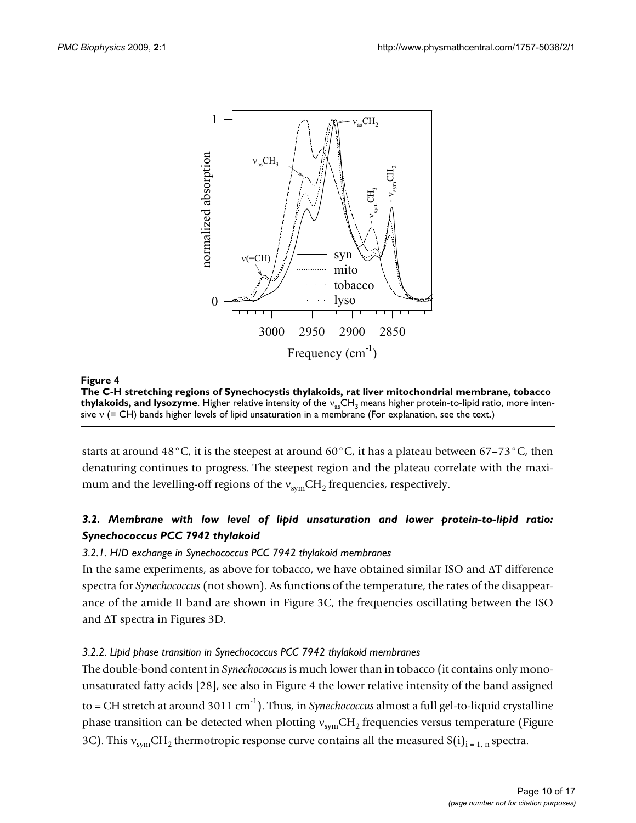

The C-H stretching regions of Synecho lysozyme **Figure 4**cystis thylakoids, rat liver mitochondrial membrane, tobacco thylakoids, and **The C-H stretching regions of Synechocystis thylakoids, rat liver mitochondrial membrane, tobacco thylakoids, and lysozyme**. Higher relative intensity of the v<sub>as</sub>CH<sub>3</sub> means higher protein-to-lipid ratio, more intensive  $v$  (= CH) bands higher levels of lipid unsaturation in a membrane (For explanation, see the text.)

starts at around 48°C, it is the steepest at around  $60^{\circ}$ C, it has a plateau between  $67-73^{\circ}$ C, then denaturing continues to progress. The steepest region and the plateau correlate with the maximum and the levelling-off regions of the  $v_{sym}CH_2$  frequencies, respectively.

## *3.2. Membrane with low level of lipid unsaturation and lower protein-to-lipid ratio: Synechococcus PCC 7942 thylakoid*

## *3.2.1. H/D exchange in Synechococcus PCC 7942 thylakoid membranes*

In the same experiments, as above for tobacco, we have obtained similar ISO and  $\Delta T$  difference spectra for *Synechococcus* (not shown). As functions of the temperature, the rates of the disappearance of the amide II band are shown in Figure 3C, the frequencies oscillating between the ISO and  $\Delta T$  spectra in Figures 3D.

## *3.2.2. Lipid phase transition in Synechococcus PCC 7942 thylakoid membranes*

The double-bond content in *Synechococcus* is much lower than in tobacco (it contains only monounsaturated fatty acids [28], see also in Figure 4 the lower relative intensity of the band assigned to  $=$  CH stretch at around 3011 cm<sup>-1</sup>). Thus, in *Synechococcus* almost a full gel-to-liquid crystalline phase transition can be detected when plotting  $v_{sym}CH_2$  frequencies versus temperature (Figure 3C). This  $v_{sym}CH_2$  thermotropic response curve contains all the measured  $S(i)_{i=1,n}$  spectra.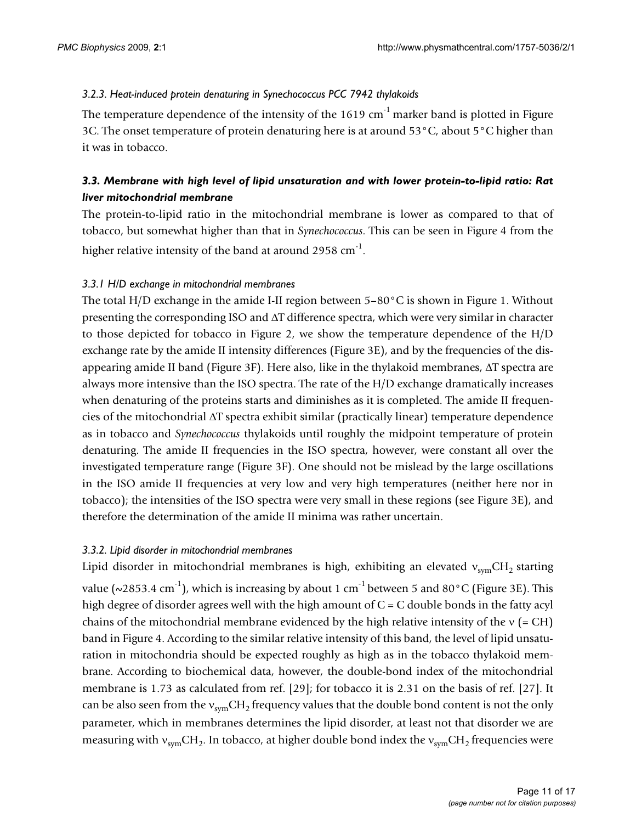## *3.2.3. Heat-induced protein denaturing in Synechococcus PCC 7942 thylakoids*

The temperature dependence of the intensity of the  $1619 \text{ cm}^{-1}$  marker band is plotted in Figure 3C. The onset temperature of protein denaturing here is at around 53°C, about 5°C higher than it was in tobacco.

## *3.3. Membrane with high level of lipid unsaturation and with lower protein-to-lipid ratio: Rat liver mitochondrial membrane*

The protein-to-lipid ratio in the mitochondrial membrane is lower as compared to that of tobacco, but somewhat higher than that in *Synechococcus*. This can be seen in Figure 4 from the higher relative intensity of the band at around 2958  $cm^{-1}$ .

## *3.3.1 H/D exchange in mitochondrial membranes*

The total H/D exchange in the amide I-II region between  $5-80^{\circ}$ C is shown in Figure 1. Without presenting the corresponding ISO and  $\Delta T$  difference spectra, which were very similar in character to those depicted for tobacco in Figure 2, we show the temperature dependence of the H/D exchange rate by the amide II intensity differences (Figure 3E), and by the frequencies of the disappearing amide II band (Figure 3F). Here also, like in the thylakoid membranes,  $\Delta T$  spectra are always more intensive than the ISO spectra. The rate of the H/D exchange dramatically increases when denaturing of the proteins starts and diminishes as it is completed. The amide II frequencies of the mitochondrial  $\Delta T$  spectra exhibit similar (practically linear) temperature dependence as in tobacco and *Synechococcus* thylakoids until roughly the midpoint temperature of protein denaturing. The amide II frequencies in the ISO spectra, however, were constant all over the investigated temperature range (Figure 3F). One should not be mislead by the large oscillations in the ISO amide II frequencies at very low and very high temperatures (neither here nor in tobacco); the intensities of the ISO spectra were very small in these regions (see Figure 3E), and therefore the determination of the amide II minima was rather uncertain.

## *3.3.2. Lipid disorder in mitochondrial membranes*

Lipid disorder in mitochondrial membranes is high, exhibiting an elevated  $v_{sym}CH_{2}$  starting value ( $\sim$ 2853.4 cm<sup>-1</sup>), which is increasing by about 1 cm<sup>-1</sup> between 5 and 80 °C (Figure 3E). This high degree of disorder agrees well with the high amount of  $C = C$  double bonds in the fatty acyl chains of the mitochondrial membrane evidenced by the high relative intensity of the  $v = CH$ ) band in Figure 4. According to the similar relative intensity of this band, the level of lipid unsaturation in mitochondria should be expected roughly as high as in the tobacco thylakoid membrane. According to biochemical data, however, the double-bond index of the mitochondrial membrane is 1.73 as calculated from ref. [29]; for tobacco it is 2.31 on the basis of ref. [27]. It can be also seen from the  $v_{sym}CH_{2}$  frequency values that the double bond content is not the only parameter, which in membranes determines the lipid disorder, at least not that disorder we are measuring with  $v_{sym}CH_2$ . In tobacco, at higher double bond index the  $v_{sym}CH_2$  frequencies were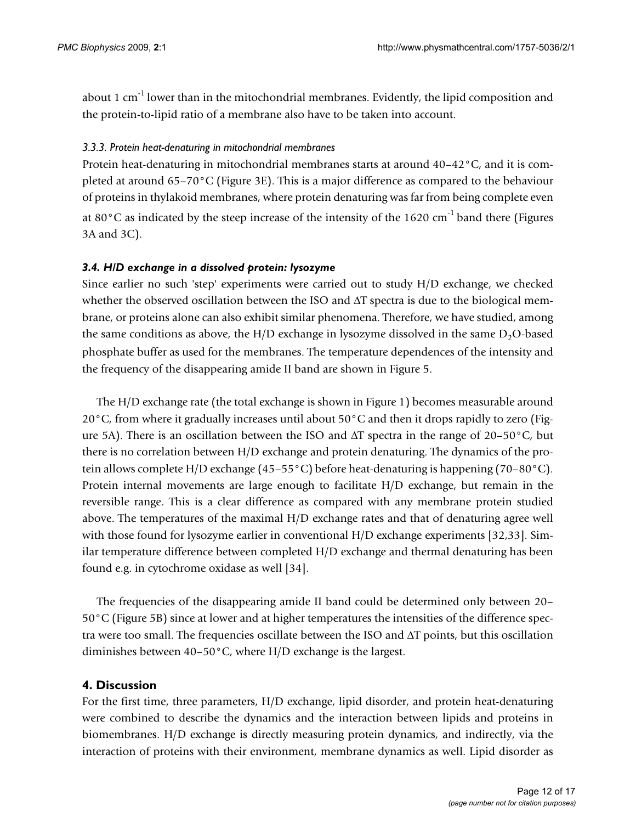about 1 cm $^{-1}$  lower than in the mitochondrial membranes. Evidently, the lipid composition and the protein-to-lipid ratio of a membrane also have to be taken into account.

### *3.3.3. Protein heat-denaturing in mitochondrial membranes*

Protein heat-denaturing in mitochondrial membranes starts at around 40–42°C, and it is completed at around 65–70°C (Figure 3E). This is a major difference as compared to the behaviour of proteins in thylakoid membranes, where protein denaturing was far from being complete even at 80 $^{\circ}$ C as indicated by the steep increase of the intensity of the 1620 cm<sup>-1</sup> band there (Figures 3A and 3C).

### *3.4. H/D exchange in a dissolved protein: lysozyme*

Since earlier no such 'step' experiments were carried out to study H/D exchange, we checked whether the observed oscillation between the ISO and  $\Delta T$  spectra is due to the biological membrane, or proteins alone can also exhibit similar phenomena. Therefore, we have studied, among the same conditions as above, the H/D exchange in lysozyme dissolved in the same  $D_2O$ -based phosphate buffer as used for the membranes. The temperature dependences of the intensity and the frequency of the disappearing amide II band are shown in Figure 5.

The H/D exchange rate (the total exchange is shown in Figure 1) becomes measurable around 20°C, from where it gradually increases until about 50°C and then it drops rapidly to zero (Figure 5A). There is an oscillation between the ISO and  $\Delta T$  spectra in the range of 20–50°C, but there is no correlation between H/D exchange and protein denaturing. The dynamics of the protein allows complete H/D exchange (45–55°C) before heat-denaturing is happening (70–80°C). Protein internal movements are large enough to facilitate H/D exchange, but remain in the reversible range. This is a clear difference as compared with any membrane protein studied above. The temperatures of the maximal H/D exchange rates and that of denaturing agree well with those found for lysozyme earlier in conventional H/D exchange experiments [32,33]. Similar temperature difference between completed H/D exchange and thermal denaturing has been found e.g. in cytochrome oxidase as well [34].

The frequencies of the disappearing amide II band could be determined only between 20– 50°C (Figure 5B) since at lower and at higher temperatures the intensities of the difference spectra were too small. The frequencies oscillate between the ISO and  $\Delta T$  points, but this oscillation diminishes between 40–50°C, where H/D exchange is the largest.

## **4. Discussion**

For the first time, three parameters, H/D exchange, lipid disorder, and protein heat-denaturing were combined to describe the dynamics and the interaction between lipids and proteins in biomembranes. H/D exchange is directly measuring protein dynamics, and indirectly, via the interaction of proteins with their environment, membrane dynamics as well. Lipid disorder as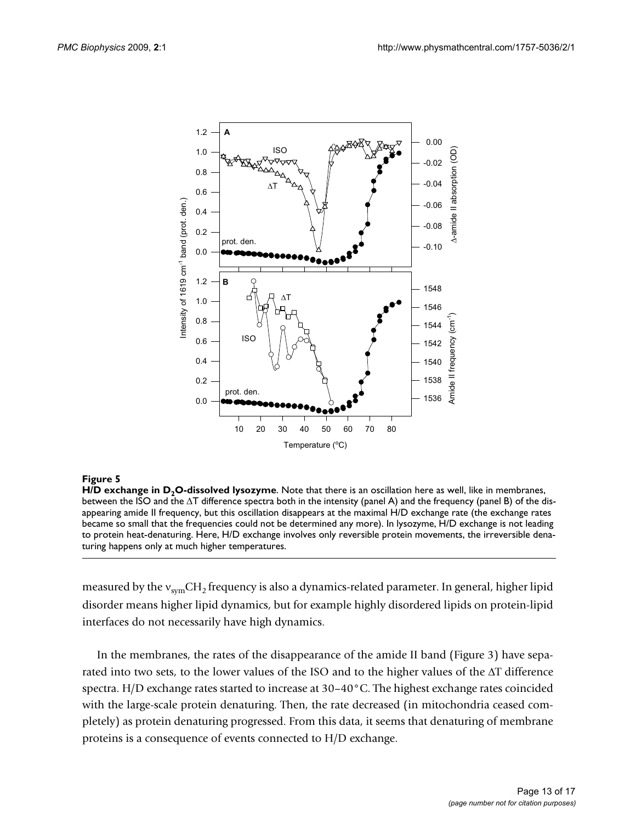

#### Figure 5

H/D exchange in D<sub>2</sub>O-dissolved lysozyme. Note that there is an oscillation here as well, like in membranes, between the ISO and the  $\Delta T$  difference spectra both in the intensity (panel A) and the frequency (panel B) of the disappearing amide II frequency, but this oscillation disappears at the maximal H/D exchange rate (the exchange rates became so small that the frequencies could not be determined any more). In lysozyme, H/D exchange is not leading to protein heat-denaturing. Here, H/D exchange involves only reversible protein movements, the irreversible denaturing happens only at much higher temperatures.

measured by the  $v_{sym}CH_2$  frequency is also a dynamics-related parameter. In general, higher lipid disorder means higher lipid dynamics, but for example highly disordered lipids on protein-lipid interfaces do not necessarily have high dynamics.

In the membranes, the rates of the disappearance of the amide II band (Figure 3) have separated into two sets, to the lower values of the ISO and to the higher values of the  $\Delta T$  difference spectra. H/D exchange rates started to increase at 30–40°C. The highest exchange rates coincided with the large-scale protein denaturing. Then, the rate decreased (in mitochondria ceased completely) as protein denaturing progressed. From this data, it seems that denaturing of membrane proteins is a consequence of events connected to H/D exchange.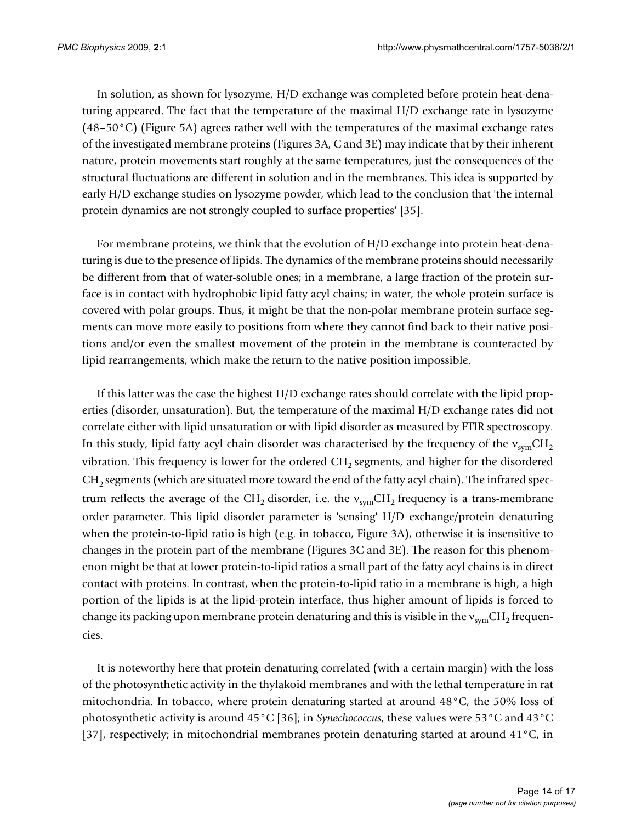In solution, as shown for lysozyme, H/D exchange was completed before protein heat-denaturing appeared. The fact that the temperature of the maximal H/D exchange rate in lysozyme  $(48-50\degree C)$  (Figure 5A) agrees rather well with the temperatures of the maximal exchange rates of the investigated membrane proteins (Figures 3A, C and 3E) may indicate that by their inherent nature, protein movements start roughly at the same temperatures, just the consequences of the structural fluctuations are different in solution and in the membranes. This idea is supported by early H/D exchange studies on lysozyme powder, which lead to the conclusion that 'the internal protein dynamics are not strongly coupled to surface properties' [35].

For membrane proteins, we think that the evolution of H/D exchange into protein heat-denaturing is due to the presence of lipids. The dynamics of the membrane proteins should necessarily be different from that of water-soluble ones; in a membrane, a large fraction of the protein surface is in contact with hydrophobic lipid fatty acyl chains; in water, the whole protein surface is covered with polar groups. Thus, it might be that the non-polar membrane protein surface segments can move more easily to positions from where they cannot find back to their native positions and/or even the smallest movement of the protein in the membrane is counteracted by lipid rearrangements, which make the return to the native position impossible.

If this latter was the case the highest H/D exchange rates should correlate with the lipid properties (disorder, unsaturation). But, the temperature of the maximal H/D exchange rates did not correlate either with lipid unsaturation or with lipid disorder as measured by FTIR spectroscopy. In this study, lipid fatty acyl chain disorder was characterised by the frequency of the  $v_{sym}CH<sub>2</sub>$ vibration. This frequency is lower for the ordered  $CH<sub>2</sub>$  segments, and higher for the disordered  $CH<sub>2</sub>$  segments (which are situated more toward the end of the fatty acyl chain). The infrared spectrum reflects the average of the CH<sub>2</sub> disorder, i.e. the  $v_{sym}CH_2$  frequency is a trans-membrane order parameter. This lipid disorder parameter is 'sensing' H/D exchange/protein denaturing when the protein-to-lipid ratio is high (e.g. in tobacco, Figure 3A), otherwise it is insensitive to changes in the protein part of the membrane (Figures 3C and 3E). The reason for this phenomenon might be that at lower protein-to-lipid ratios a small part of the fatty acyl chains is in direct contact with proteins. In contrast, when the protein-to-lipid ratio in a membrane is high, a high portion of the lipids is at the lipid-protein interface, thus higher amount of lipids is forced to change its packing upon membrane protein denaturing and this is visible in the  $v_{sym}CH_{2}$  frequencies.

It is noteworthy here that protein denaturing correlated (with a certain margin) with the loss of the photosynthetic activity in the thylakoid membranes and with the lethal temperature in rat mitochondria. In tobacco, where protein denaturing started at around 48°C, the 50% loss of photosynthetic activity is around 45°C [36]; in *Synechococcus*, these values were 53°C and 43°C [37], respectively; in mitochondrial membranes protein denaturing started at around 41°C, in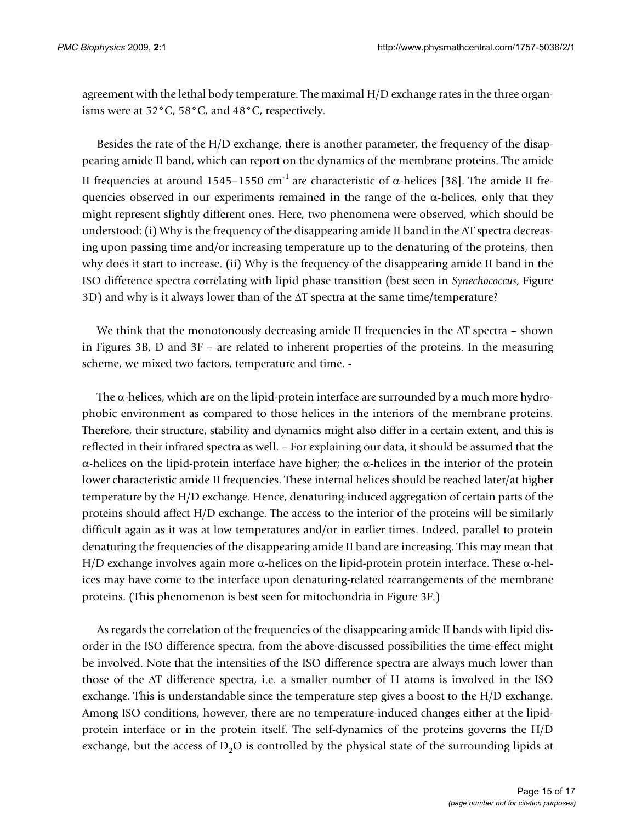agreement with the lethal body temperature. The maximal H/D exchange rates in the three organisms were at 52°C, 58°C, and 48°C, respectively.

Besides the rate of the H/D exchange, there is another parameter, the frequency of the disappearing amide II band, which can report on the dynamics of the membrane proteins. The amide II frequencies at around 1545–1550 cm<sup>-1</sup> are characteristic of  $\alpha$ -helices [38]. The amide II frequencies observed in our experiments remained in the range of the  $\alpha$ -helices, only that they might represent slightly different ones. Here, two phenomena were observed, which should be understood: (i) Why is the frequency of the disappearing amide II band in the  $\Delta T$  spectra decreasing upon passing time and/or increasing temperature up to the denaturing of the proteins, then why does it start to increase. (ii) Why is the frequency of the disappearing amide II band in the ISO difference spectra correlating with lipid phase transition (best seen in *Synechococcus*, Figure 3D) and why is it always lower than of the  $\Delta T$  spectra at the same time/temperature?

We think that the monotonously decreasing amide II frequencies in the  $\Delta T$  spectra – shown in Figures 3B, D and 3F – are related to inherent properties of the proteins. In the measuring scheme, we mixed two factors, temperature and time. -

The  $\alpha$ -helices, which are on the lipid-protein interface are surrounded by a much more hydrophobic environment as compared to those helices in the interiors of the membrane proteins. Therefore, their structure, stability and dynamics might also differ in a certain extent, and this is reflected in their infrared spectra as well. – For explaining our data, it should be assumed that the  $\alpha$ -helices on the lipid-protein interface have higher; the  $\alpha$ -helices in the interior of the protein lower characteristic amide II frequencies. These internal helices should be reached later/at higher temperature by the H/D exchange. Hence, denaturing-induced aggregation of certain parts of the proteins should affect H/D exchange. The access to the interior of the proteins will be similarly difficult again as it was at low temperatures and/or in earlier times. Indeed, parallel to protein denaturing the frequencies of the disappearing amide II band are increasing. This may mean that H/D exchange involves again more  $\alpha$ -helices on the lipid-protein protein interface. These  $\alpha$ -helices may have come to the interface upon denaturing-related rearrangements of the membrane proteins. (This phenomenon is best seen for mitochondria in Figure 3F.)

As regards the correlation of the frequencies of the disappearing amide II bands with lipid disorder in the ISO difference spectra, from the above-discussed possibilities the time-effect might be involved. Note that the intensities of the ISO difference spectra are always much lower than those of the  $\Delta T$  difference spectra, i.e. a smaller number of H atoms is involved in the ISO exchange. This is understandable since the temperature step gives a boost to the H/D exchange. Among ISO conditions, however, there are no temperature-induced changes either at the lipidprotein interface or in the protein itself. The self-dynamics of the proteins governs the H/D exchange, but the access of  $D_2O$  is controlled by the physical state of the surrounding lipids at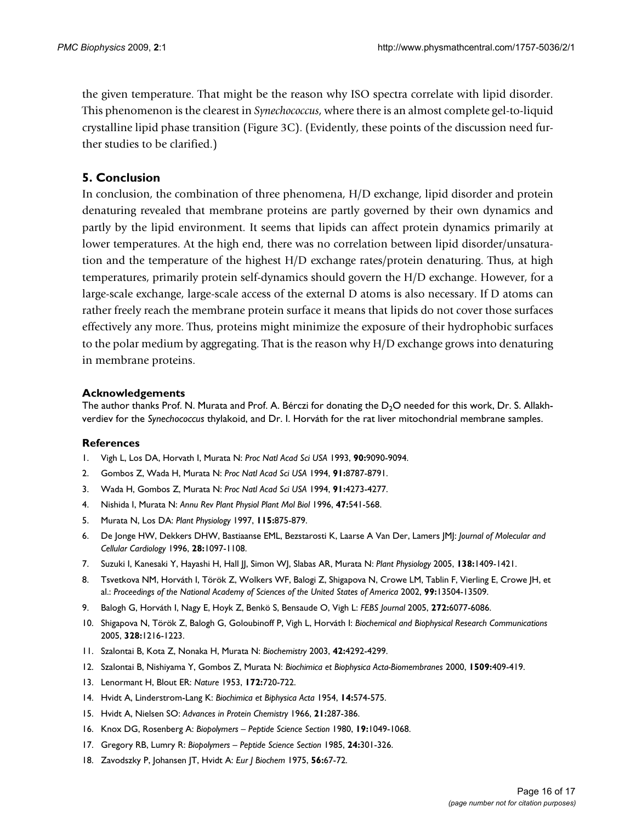the given temperature. That might be the reason why ISO spectra correlate with lipid disorder. This phenomenon is the clearest in *Synechococcus*, where there is an almost complete gel-to-liquid crystalline lipid phase transition (Figure 3C). (Evidently, these points of the discussion need further studies to be clarified.)

## **5. Conclusion**

In conclusion, the combination of three phenomena, H/D exchange, lipid disorder and protein denaturing revealed that membrane proteins are partly governed by their own dynamics and partly by the lipid environment. It seems that lipids can affect protein dynamics primarily at lower temperatures. At the high end, there was no correlation between lipid disorder/unsaturation and the temperature of the highest H/D exchange rates/protein denaturing. Thus, at high temperatures, primarily protein self-dynamics should govern the H/D exchange. However, for a large-scale exchange, large-scale access of the external D atoms is also necessary. If D atoms can rather freely reach the membrane protein surface it means that lipids do not cover those surfaces effectively any more. Thus, proteins might minimize the exposure of their hydrophobic surfaces to the polar medium by aggregating. That is the reason why H/D exchange grows into denaturing in membrane proteins.

### **Acknowledgements**

The author thanks Prof. N. Murata and Prof. A. Bérczi for donating the  $D_2O$  needed for this work, Dr. S. Allakhverdiev for the *Synechococcus* thylakoid, and Dr. I. Horváth for the rat liver mitochondrial membrane samples.

#### **References**

- 1. Vigh L, Los DA, Horvath I, Murata N: *Proc Natl Acad Sci USA* 1993, **90:**9090-9094.
- 2. Gombos Z, Wada H, Murata N: *Proc Natl Acad Sci USA* 1994, **91:**8787-8791.
- 3. Wada H, Gombos Z, Murata N: *Proc Natl Acad Sci USA* 1994, **91:**4273-4277.
- 4. Nishida I, Murata N: *Annu Rev Plant Physiol Plant Mol Biol* 1996, **47:**541-568.
- 5. Murata N, Los DA: *Plant Physiology* 1997, **115:**875-879.
- 6. De Jonge HW, Dekkers DHW, Bastiaanse EML, Bezstarosti K, Laarse A Van Der, Lamers JMJ: *Journal of Molecular and Cellular Cardiology* 1996, **28:**1097-1108.
- 7. Suzuki I, Kanesaki Y, Hayashi H, Hall JJ, Simon WJ, Slabas AR, Murata N: *Plant Physiology* 2005, **138:**1409-1421.
- 8. Tsvetkova NM, Horváth I, Török Z, Wolkers WF, Balogi Z, Shigapova N, Crowe LM, Tablin F, Vierling E, Crowe JH, et al.: *Proceedings of the National Academy of Sciences of the United States of America* 2002, **99:**13504-13509.
- 9. Balogh G, Horváth I, Nagy E, Hoyk Z, Benkö S, Bensaude O, Vigh L: *FEBS Journal* 2005, **272:**6077-6086.
- 10. Shigapova N, Török Z, Balogh G, Goloubinoff P, Vigh L, Horváth I: *Biochemical and Biophysical Research Communications* 2005, **328:**1216-1223.
- 11. Szalontai B, Kota Z, Nonaka H, Murata N: *Biochemistry* 2003, **42:**4292-4299.
- 12. Szalontai B, Nishiyama Y, Gombos Z, Murata N: *Biochimica et Biophysica Acta-Biomembranes* 2000, **1509:**409-419.
- 13. Lenormant H, Blout ER: *Nature* 1953, **172:**720-722.
- 14. Hvidt A, Linderstrom-Lang K: *Biochimica et Biphysica Acta* 1954, **14:**574-575.
- 15. Hvidt A, Nielsen SO: *Advances in Protein Chemistry* 1966, **21:**287-386.
- 16. Knox DG, Rosenberg A: *Biopolymers Peptide Science Section* 1980, **19:**1049-1068.
- 17. Gregory RB, Lumry R: *Biopolymers Peptide Science Section* 1985, **24:**301-326.
- 18. Zavodszky P, Johansen JT, Hvidt A: *Eur J Biochem* 1975, **56:**67-72.